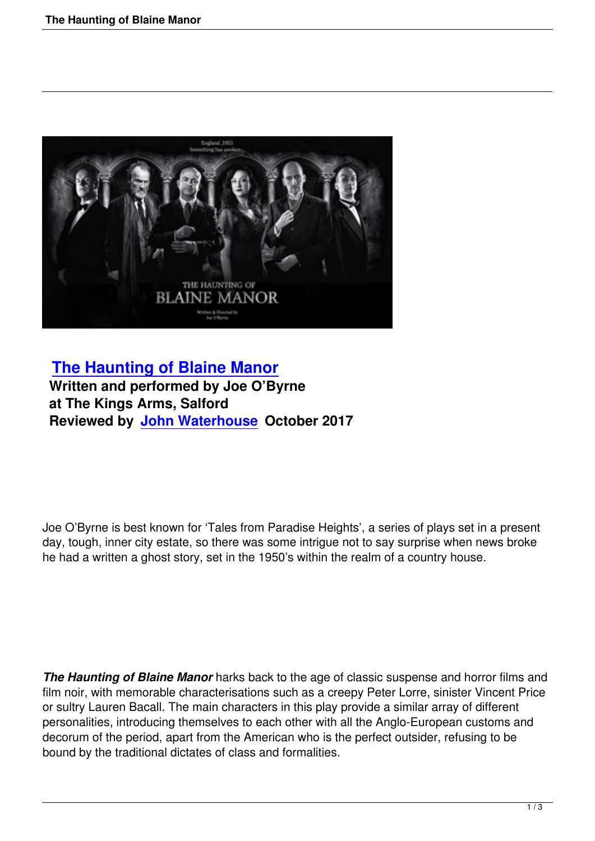

## **The Haunting of Blaine Manor Written and performed by Joe O'Byrne at The Kings Arms, Salford [Reviewed by John Waterhouse Oc](the-haunting-of-blaine-manor.html)tober 2017**

Joe O'Byrne is best known for 'Tales from Paradise Heights', a series of plays set in a present day, tough, inner city estate, so there was some intrigue not to say surprise when news broke he had a written a ghost story, set in the 1950's within the realm of a country house.

*The Haunting of Blaine Manor* harks back to the age of classic suspense and horror films and film noir, with memorable characterisations such as a creepy Peter Lorre, sinister Vincent Price or sultry Lauren Bacall. The main characters in this play provide a similar array of different personalities, introducing themselves to each other with all the Anglo-European customs and decorum of the period, apart from the American who is the perfect outsider, refusing to be bound by the traditional dictates of class and formalities.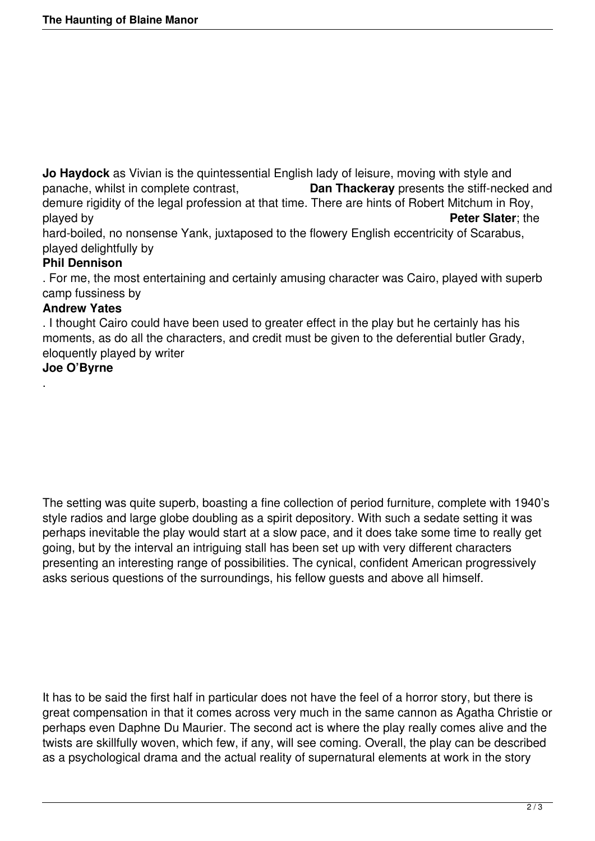**Jo Haydock** as Vivian is the quintessential English lady of leisure, moving with style and panache, whilst in complete contrast, **Dan Thackeray** presents the stiff-neck Dan Thackeray presents the stiff-necked and demure rigidity of the legal profession at that time. There are hints of Robert Mitchum in Roy, played by **Peter Slater**; the hard-boiled, no nonsense Yank, juxtaposed to the flowery English eccentricity of Scarabus,

played delightfully by

## **Phil Dennison**

. For me, the most entertaining and certainly amusing character was Cairo, played with superb camp fussiness by

## **Andrew Yates**

. I thought Cairo could have been used to greater effect in the play but he certainly has his moments, as do all the characters, and credit must be given to the deferential butler Grady, eloquently played by writer

## **Joe O'Byrne**

.

The setting was quite superb, boasting a fine collection of period furniture, complete with 1940's style radios and large globe doubling as a spirit depository. With such a sedate setting it was perhaps inevitable the play would start at a slow pace, and it does take some time to really get going, but by the interval an intriguing stall has been set up with very different characters presenting an interesting range of possibilities. The cynical, confident American progressively asks serious questions of the surroundings, his fellow guests and above all himself.

It has to be said the first half in particular does not have the feel of a horror story, but there is great compensation in that it comes across very much in the same cannon as Agatha Christie or perhaps even Daphne Du Maurier. The second act is where the play really comes alive and the twists are skillfully woven, which few, if any, will see coming. Overall, the play can be described as a psychological drama and the actual reality of supernatural elements at work in the story